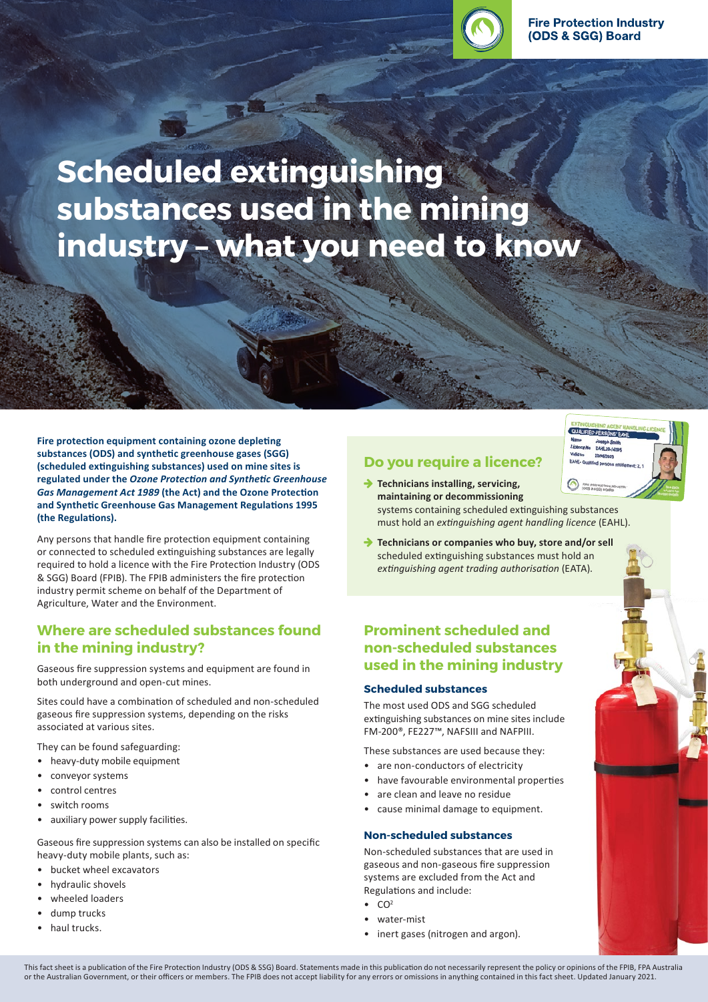

**Scheduled extinguishing substances used in the mining industry – what you need to know**

**Fire protection equipment containing ozone depleting substances (ODS) and synthetic greenhouse gases (SGG) (scheduled extinguishing substances) used on mine sites is regulated under the** *Ozone Protection and Synthetic Greenhouse Gas Management Act 1989* **(the Act) and the Ozone Protection and Synthetic Greenhouse Gas Management Regulations 1995 (the Regulations).**

Any persons that handle fire protection equipment containing or connected to scheduled extinguishing substances are legally required to hold a licence with the Fire Protection Industry (ODS & SGG) Board (FPIB). The FPIB administers the fire protection industry permit scheme on behalf of the Department of Agriculture, Water and the Environment.

### **Where are scheduled substances found in the mining industry?**

Gaseous fire suppression systems and equipment are found in both underground and open-cut mines.

Sites could have a combination of scheduled and non-scheduled gaseous fire suppression systems, depending on the risks associated at various sites.

They can be found safeguarding:

- heavy-duty mobile equipment
- conveyor systems
- control centres
- switch rooms
- auxiliary power supply facilities.

Gaseous fire suppression systems can also be installed on specific heavy-duty mobile plants, such as:

- bucket wheel excavators
- hydraulic shovels
- wheeled loaders
- dump trucks
- haul trucks.

## **Do you require a licence?**



- **→ Technicians installing, servicing, maintaining or decommissioning**  systems containing scheduled extinguishing substances must hold an *extinguishing agent handling licence* (EAHL).
- **→** Technicians or companies who buy, store and/or sell scheduled extinguishing substances must hold an *extinguishing agent trading authorisation* (EATA).

## **Prominent scheduled and non-scheduled substances used in the mining industry**

#### **Scheduled substances**

The most used ODS and SGG scheduled extinguishing substances on mine sites include FM‑200®, FE227™, NAFSIII and NAFPIII.

These substances are used because they:

- are non-conductors of electricity
- have favourable environmental properties
- are clean and leave no residue
- cause minimal damage to equipment.

#### **Non-scheduled substances**

Non-scheduled substances that are used in gaseous and non-gaseous fire suppression systems are excluded from the Act and Regulations and include:

- $CO<sup>2</sup>$
- water-mist
- inert gases (nitrogen and argon).